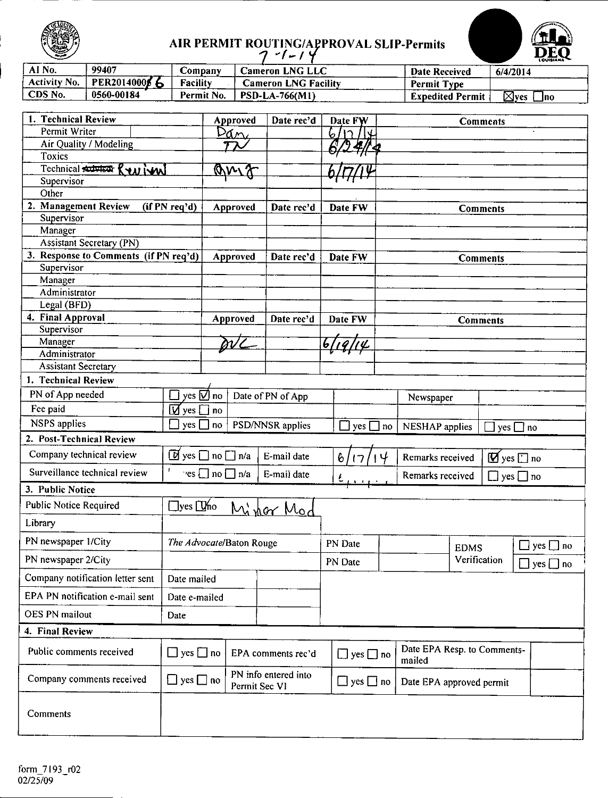

### AIR PERMIT ROUTING/APPROVAL SLIP-Permits

| ∽                   |               |                 | - 1                    |                         | <b>POULD NAME</b>            |
|---------------------|---------------|-----------------|------------------------|-------------------------|------------------------------|
| AI No.              | 99407         | Company         | <b>Cameron LNG LLC</b> | <b>Date Received</b>    | 6/4/2014                     |
| <b>Activity No.</b> | PER20140006 6 | <b>Facility</b> | Cameron LNG Facility   | <b>Permit Type</b>      |                              |
| CDS No.             | 0560-00184    | Permit No.      | <b>PSD-LA-766(M1)</b>  | <b>Expedited Permit</b> | $\boxtimes$ yes<br>$\Box$ no |

| 1. Technical Review                   |                      | Approved                                                           | Date rec'd           | Date FW              |                      | Comments                    |                                                                       |
|---------------------------------------|----------------------|--------------------------------------------------------------------|----------------------|----------------------|----------------------|-----------------------------|-----------------------------------------------------------------------|
| Permit Writer                         |                      | Pan,                                                               |                      | 6.                   |                      |                             |                                                                       |
| Air Quality / Modeling                |                      |                                                                    |                      |                      |                      |                             |                                                                       |
| <b>Toxics</b>                         |                      |                                                                    |                      |                      |                      |                             |                                                                       |
| Technical Autor Review<br>Supervisor  |                      | <u> QM 7</u>                                                       |                      |                      |                      |                             |                                                                       |
| Other                                 |                      |                                                                    |                      |                      |                      |                             |                                                                       |
| 2. Management Review                  | (if PN req'd)        | Approved                                                           | Date rec'd           | Date FW              |                      | <b>Comments</b>             |                                                                       |
| Supervisor                            |                      |                                                                    |                      |                      |                      |                             |                                                                       |
| Manager                               |                      |                                                                    |                      |                      |                      |                             |                                                                       |
| <b>Assistant Secretary (PN)</b>       |                      |                                                                    |                      |                      |                      |                             |                                                                       |
| 3. Response to Comments (if PN req'd) |                      | Approved                                                           | Date rec'd           | Date FW              |                      | Comments                    |                                                                       |
| Supervisor                            |                      |                                                                    |                      |                      |                      |                             |                                                                       |
| Manager                               |                      |                                                                    |                      |                      |                      |                             |                                                                       |
| Administrator                         |                      |                                                                    |                      |                      |                      |                             |                                                                       |
| Legal (BFD)<br>4. Final Approval      |                      |                                                                    |                      |                      |                      |                             |                                                                       |
| Supervisor                            |                      | Approved                                                           | Date rec'd           | Date FW              |                      | <b>Comments</b>             |                                                                       |
| Manager                               |                      | DV C                                                               |                      | 6,<br>'L             |                      |                             |                                                                       |
| Administrator                         |                      |                                                                    |                      |                      |                      |                             |                                                                       |
| <b>Assistant Secretary</b>            |                      |                                                                    |                      |                      |                      |                             |                                                                       |
| 1. Technical Review                   |                      |                                                                    |                      |                      |                      |                             |                                                                       |
| PN of App needed                      |                      | yes $\nabla$ no                                                    | Date of PN of App    |                      | Newspaper            |                             |                                                                       |
| Fee paid                              | $\boxdot$ yes        | no                                                                 |                      |                      |                      |                             |                                                                       |
| <b>NSPS</b> applies                   | yes                  | no                                                                 | PSD/NNSR applies     | $yes$ $\Box$         | NESHAP applies<br>no |                             | $yes$ no                                                              |
| 2. Post-Technical Review              |                      |                                                                    |                      |                      |                      |                             |                                                                       |
| Company technical review              |                      | $\boxed{0}$ yes $\boxed{\phantom{0}}$ no $\boxed{\phantom{0}}$ n/a | E-mail date          |                      | Remarks received     |                             |                                                                       |
| Surveillance technical review         | t                    | $\text{res}$ no $\Box$ n/a                                         | E-mail date          | 6<br>17              | Remarks received     |                             | $\mathbf{\mathcal{D}}$ yes $\mathbf{\Box}$ no<br>$\Box$ yes $\Box$ no |
| 3. Public Notice                      |                      |                                                                    |                      |                      |                      |                             |                                                                       |
| <b>Public Notice Required</b>         | $\Box$ yes $\Box$ no |                                                                    |                      |                      |                      |                             |                                                                       |
|                                       |                      |                                                                    | Minor Mod            |                      |                      |                             |                                                                       |
| Library                               |                      |                                                                    |                      |                      |                      |                             |                                                                       |
| PN newspaper 1/City                   |                      | The Advocate/Baton Rouge                                           |                      | PN Date              |                      | <b>EDMS</b>                 | $\square$ yes $\square$ no                                            |
| PN newspaper 2/City                   |                      |                                                                    |                      | PN Date              |                      | Verification                | $\Box$ yes $\Box$ no                                                  |
| Company notification letter sent      | Date mailed          |                                                                    |                      |                      |                      |                             |                                                                       |
| EPA PN notification e-mail sent       | Date e-mailed        |                                                                    |                      |                      |                      |                             |                                                                       |
| <b>OES PN mailout</b>                 | Date                 |                                                                    |                      |                      |                      |                             |                                                                       |
| 4. Final Review                       |                      |                                                                    |                      |                      |                      |                             |                                                                       |
| Public comments received              | $\Box$ yes $\Box$ no |                                                                    | EPA comments rec'd   | $\Box$ yes $\Box$ no | mailed               | Date EPA Resp. to Comments- |                                                                       |
| Company comments received             | $\Box$ yes $\Box$ no | Permit Sec VI                                                      | PN info entered into | $\Box$ yes $\Box$ no |                      | Date EPA approved permit    |                                                                       |
| Comments                              |                      |                                                                    |                      |                      |                      |                             |                                                                       |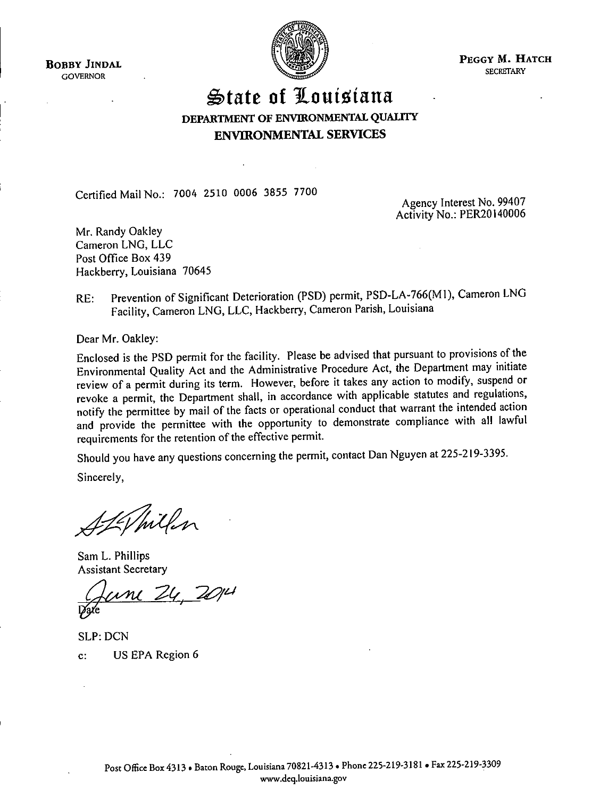**BOBBY JINDAL GOVERNOR** 



PEGGY M. HATCH **SECRETARY** 

### State of Louisiana DEPARTMENT OF ENVIRONMENTAL OUALITY **ENVIRONMENTAL SERVICES**

Certified Mail No.: 7004 2510 0006 3855 7700

Agency Interest No. 99407 Activity No.: PER20140006

Mr. Randy Oakley Cameron LNG, LLC Post Office Box 439 Hackberry, Louisiana 70645

Prevention of Significant Deterioration (PSD) permit, PSD-LA-766(M1), Cameron LNG  $RE:$ Facility, Cameron LNG, LLC, Hackberry, Cameron Parish, Louisiana

Dear Mr. Oakley:

Enclosed is the PSD permit for the facility. Please be advised that pursuant to provisions of the Environmental Quality Act and the Administrative Procedure Act, the Department may initiate review of a permit during its term. However, before it takes any action to modify, suspend or revoke a permit, the Department shall, in accordance with applicable statutes and regulations, notify the permittee by mail of the facts or operational conduct that warrant the intended action and provide the permittee with the opportunity to demonstrate compliance with all lawful requirements for the retention of the effective permit.

Should you have any questions concerning the permit, contact Dan Nguyen at 225-219-3395.

Sincerely,

Whithen

Sam L. Phillips **Assistant Secretary** 

 $Z$ 4  $Z$  $\mathcal{M}$ 

**SLP: DCN** US EPA Region 6  $\mathbf{c}$ :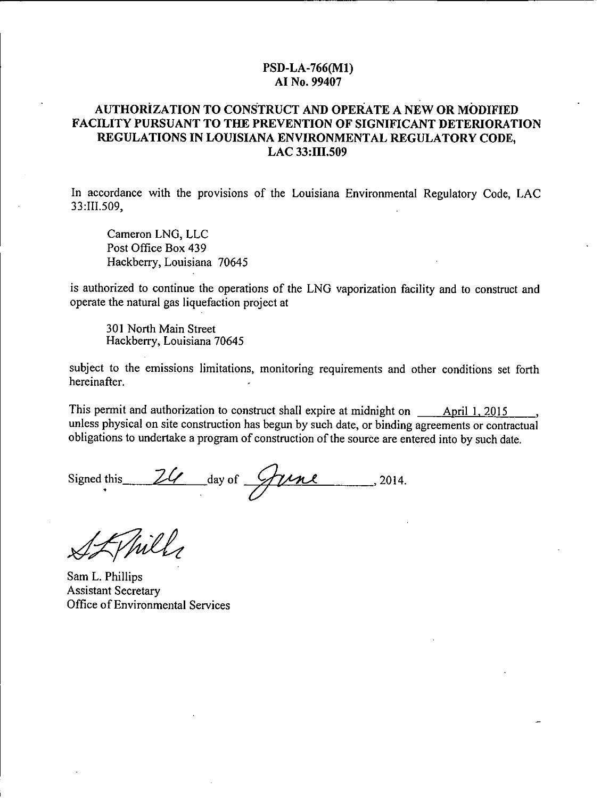### PSD-LA-766(M1) AI No. 99407

### **AUTHORIZATION TO CONSTRUCT AND OPERATE A NEW OR MODIFIED** FACILITY PURSUANT TO THE PREVENTION OF SIGNIFICANT DETERIORATION REGULATIONS IN LOUISIANA ENVIRONMENTAL REGULATORY CODE, LAC 33:III.509

In accordance with the provisions of the Louisiana Environmental Regulatory Code, LAC 33:III.509.

Cameron LNG, LLC Post Office Box 439 Hackberry, Louisiana 70645

is authorized to continue the operations of the LNG vaporization facility and to construct and operate the natural gas liquefaction project at

301 North Main Street Hackberry, Louisiana 70645

subject to the emissions limitations, monitoring requirements and other conditions set forth hereinafter

This permit and authorization to construct shall expire at midnight on April 1, 2015 unless physical on site construction has begun by such date, or binding agreements or contractual obligations to undertake a program of construction of the source are entered into by such date.

24 day of Yune  $-2014.$ Signed this

nil.

Sam L. Phillips **Assistant Secretary** Office of Environmental Services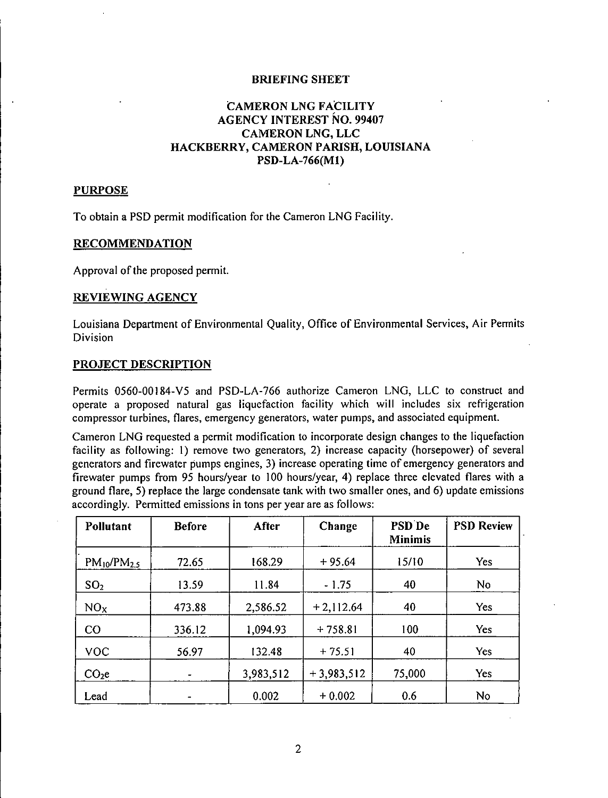### BRIEFING SHEET

### CAMERON LNG FACILITY AGENCY INTEREST NO. 99407 CAMERON LNG, LLC HACKBERRY, CAMERON PARISH, LOUISIANA PSD-LA-766(Ml)

### PURPOSE

To obtain a PSD permit modification for the Cameron LNG Facility.

### RECOMMENDATION

Approval of the proposed permit.

### REVIEWING AGENCY

Louisiana Department of Environmental Quality, Office of Environmental Services, Air Pennits **Division** 

### PROJECT DESCRIPTION

Permits 0560-00184-V5 and PSD-LA-766 authorize Cameron LNG, LLC to construct and operate a proposed natural gas liquefaction facility which will includes six refrigeration compressor turbines, flares, emergency generators, water pumps, and associated equipment.

Cameron LNG requested a permit modification to incorporate design changes to the liquefaction facility as following: I) remove two generators, 2) increase capacity (horsepower) of several generators and firewater pumps engines, 3) increase operating time of emergency generators and firewater pumps from 95 hours/year to 100 hours/year, 4) replace three elevated flares with a ground flare, 5) replace the large condensate tank with two smaller ones, and 6) update emissions accordingly. Permitted emissions in tons per year are as follows:

| Pollutant          | <b>Before</b> | After     | Change       | PSD De<br><b>Minimis</b> | <b>PSD Review</b> |
|--------------------|---------------|-----------|--------------|--------------------------|-------------------|
| $PM_{10}/PM_{2.5}$ | 72.65         | 168.29    | $+95.64$     | 15/10                    | Yes               |
| SO <sub>2</sub>    | 13.59         | 11.84     | $-1.75$      | 40                       | <b>No</b>         |
| NO <sub>x</sub>    | 473.88        | 2,586.52  | $+2,112.64$  | 40                       | <b>Yes</b>        |
| CO                 | 336.12        | 1,094.93  | $+758.81$    | 100                      | Yes               |
| <b>VOC</b>         | 56.97         | 132.48    | $+75.51$     | 40                       | <b>Yes</b>        |
| CO <sub>2</sub> e  |               | 3,983,512 | $+3,983,512$ | 75,000                   | Yes               |
| Lead               |               | 0.002     | $+0.002$     | 0.6                      | <b>No</b>         |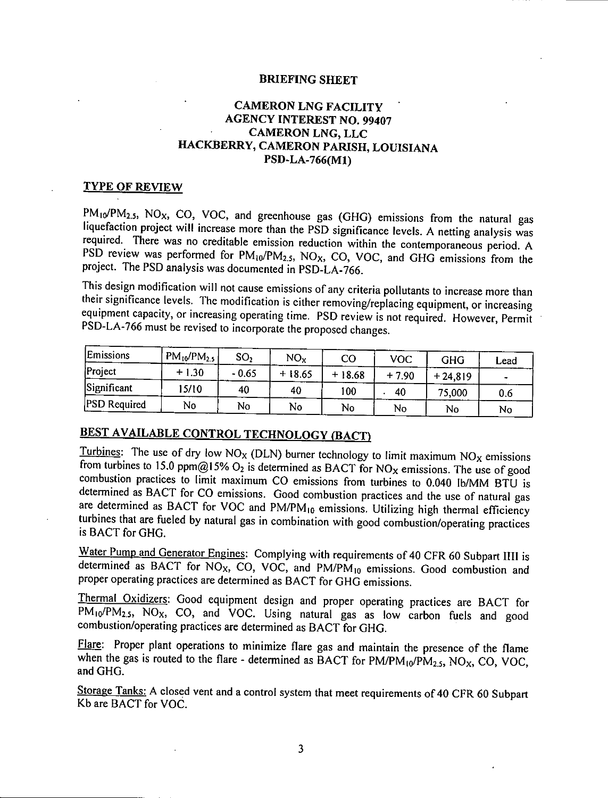### **BRIEFING SHEET**

### **CAMERON LNG FACILITY AGENCY INTEREST NO. 99407 CAMERON LNG, LLC** HACKBERRY, CAMERON PARISH, LOUISIANA PSD-LA-766(M1)

### **TYPE OF REVIEW**

PM<sub>10</sub>/PM<sub>2.5</sub>, NO<sub>X</sub>, CO, VOC, and greenhouse gas (GHG) emissions from the natural gas liquefaction project will increase more than the PSD significance levels. A netting analysis was required. There was no creditable emission reduction within the contemporaneous period. A PSD review was performed for PM10/PM2.5, NO<sub>x</sub>, CO, VOC, and GHG emissions from the project. The PSD analysis was documented in PSD-LA-766.

This design modification will not cause emissions of any criteria pollutants to increase more than their significance levels. The modification is either removing/replacing equipment, or increasing equipment capacity, or increasing operating time. PSD review is not required. However, Permit PSD-LA-766 must be revised to incorporate the proposed changes.

| Emissions           | $PM_{10}/PM_{2.5}$ | SO,     | $NO_{X}$ | CO       | voc     | GHG       | Lead |
|---------------------|--------------------|---------|----------|----------|---------|-----------|------|
| Project             | $+1.30$            | $-0.65$ | $+18.65$ | $+18.68$ | $+7.90$ | $+24,819$ |      |
| Significant         | 15/10              | 40      | 40       | 100      | 40      | 75,000    | 0.6  |
| <b>PSD</b> Required | No                 | No      | No       | No       | No      | No        | No   |

### BEST AVAILABLE CONTROL TECHNOLOGY (BACT)

Turbines: The use of dry low  $NO<sub>x</sub>$  (DLN) burner technology to limit maximum  $NO<sub>x</sub>$  emissions from turbines to 15.0 ppm@15%  $O_2$  is determined as BACT for NO<sub>x</sub> emissions. The use of good combustion practices to limit maximum CO emissions from turbines to 0.040 lb/MM BTU is determined as BACT for CO emissions. Good combustion practices and the use of natural gas are determined as BACT for VOC and PM/PM<sub>10</sub> emissions. Utilizing high thermal efficiency turbines that are fueled by natural gas in combination with good combustion/operating practices is BACT for GHG.

Water Pump and Generator Engines: Complying with requirements of 40 CFR 60 Subpart IIII is determined as BACT for NO<sub>X</sub>, CO, VOC, and PM/PM<sub>10</sub> emissions. Good combustion and proper operating practices are determined as BACT for GHG emissions.

Thermal Oxidizers: Good equipment design and proper operating practices are BACT for PM<sub>10</sub>/PM<sub>2.5</sub>, NO<sub>X</sub>, CO, and VOC. Using natural gas as low carbon fuels and good combustion/operating practices are determined as BACT for GHG.

Flare: Proper plant operations to minimize flare gas and maintain the presence of the flame when the gas is routed to the flare - determined as BACT for  $PM/PM_{10}/PM_{2.5}$ , NO<sub>x</sub>, CO, VOC, and GHG.

Storage Tanks: A closed vent and a control system that meet requirements of 40 CFR 60 Subpart Kb are BACT for VOC.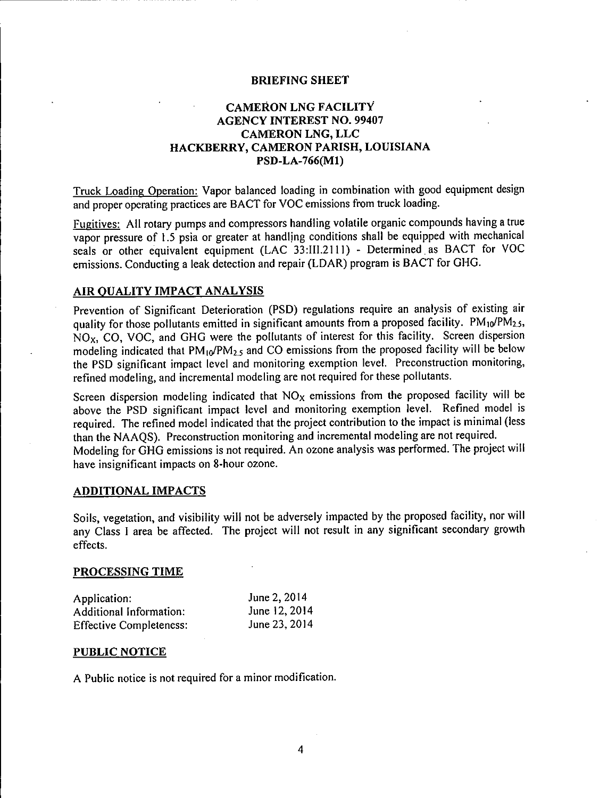### **BRIEFING SHEET**

### **CAMERON LNG FACILITY AGENCY INTEREST NO. 99407 CAMERON LNG, LLC** HACKBERRY, CAMERON PARISH, LOUISIANA PSD-LA-766(M1)

Truck Loading Operation: Vapor balanced loading in combination with good equipment design and proper operating practices are BACT for VOC emissions from truck loading.

Fugitives: All rotary pumps and compressors handling volatile organic compounds having a true vapor pressure of 1.5 psia or greater at handling conditions shall be equipped with mechanical seals or other equivalent equipment (LAC 33:III.2111) - Determined as BACT for VOC emissions. Conducting a leak detection and repair (LDAR) program is BACT for GHG.

### AIR QUALITY IMPACT ANALYSIS

Prevention of Significant Deterioration (PSD) regulations require an analysis of existing air quality for those pollutants emitted in significant amounts from a proposed facility.  $PM_{10}/PM_{2.5}$ , NO<sub>x</sub>, CO, VOC, and GHG were the pollutants of interest for this facility. Screen dispersion modeling indicated that  $PM_{10}/PM_{2.5}$  and CO emissions from the proposed facility will be below the PSD significant impact level and monitoring exemption level. Preconstruction monitoring, refined modeling, and incremental modeling are not required for these pollutants.

Screen dispersion modeling indicated that  $NO<sub>x</sub>$  emissions from the proposed facility will be above the PSD significant impact level and monitoring exemption level. Refined model is required. The refined model indicated that the project contribution to the impact is minimal (less than the NAAQS). Preconstruction monitoring and incremental modeling are not required. Modeling for GHG emissions is not required. An ozone analysis was performed. The project will have insignificant impacts on 8-hour ozone.

### **ADDITIONAL IMPACTS**

Soils, vegetation, and visibility will not be adversely impacted by the proposed facility, nor will any Class I area be affected. The project will not result in any significant secondary growth effects.

### PROCESSING TIME

| Application:                   | June 2, 2014  |
|--------------------------------|---------------|
| Additional Information:        | June 12, 2014 |
| <b>Effective Completeness:</b> | June 23, 2014 |

### PUBLIC NOTICE

A Public notice is not required for a minor modification.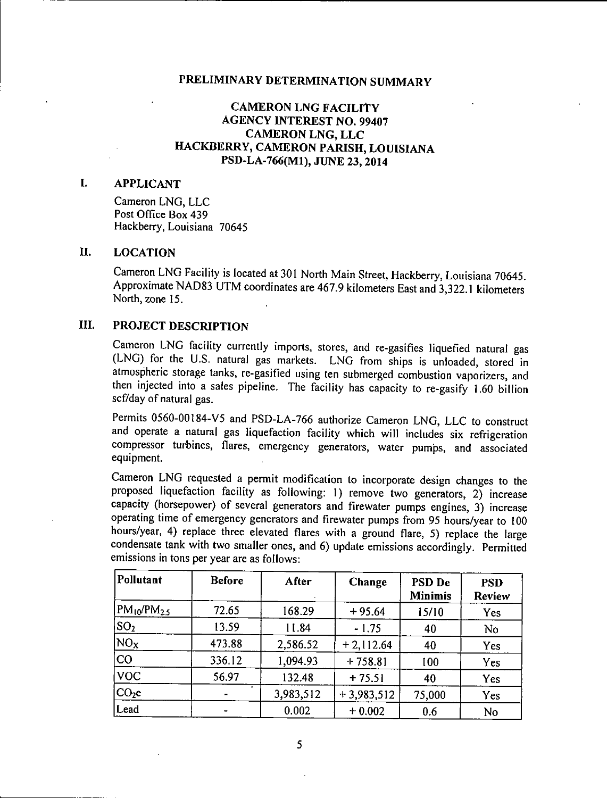### **CAMERON LNG FACILITY AGENCY INTEREST NO. 99407 CAMERON LNG, LLC** HACKBERRY, CAMERON PARISH, LOUISIANA PSD-LA-766(M1), JUNE 23, 2014

### L. **APPLICANT**

Cameron LNG, LLC Post Office Box 439 Hackberry, Louisiana 70645

### II. **LOCATION**

Cameron LNG Facility is located at 301 North Main Street, Hackberry, Louisiana 70645. Approximate NAD83 UTM coordinates are 467.9 kilometers East and 3,322.1 kilometers North, zone 15.

### III. PROJECT DESCRIPTION

Cameron LNG facility currently imports, stores, and re-gasifies liquefied natural gas (LNG) for the U.S. natural gas markets. LNG from ships is unloaded, stored in atmospheric storage tanks, re-gasified using ten submerged combustion vaporizers, and then injected into a sales pipeline. The facility has capacity to re-gasify 1.60 billion scf/day of natural gas.

Permits 0560-00184-V5 and PSD-LA-766 authorize Cameron LNG, LLC to construct and operate a natural gas liquefaction facility which will includes six refrigeration compressor turbines, flares, emergency generators, water pumps, and associated equipment.

Cameron LNG requested a permit modification to incorporate design changes to the proposed liquefaction facility as following: 1) remove two generators, 2) increase capacity (horsepower) of several generators and firewater pumps engines, 3) increase operating time of emergency generators and firewater pumps from 95 hours/year to 100 hours/year, 4) replace three elevated flares with a ground flare, 5) replace the large condensate tank with two smaller ones, and 6) update emissions accordingly. Permitted emissions in tons per year are as follows:

| Pollutant          | <b>Before</b>  | After     | Change       | <b>PSD De</b><br><b>Minimis</b> | <b>PSD</b><br><b>Review</b> |
|--------------------|----------------|-----------|--------------|---------------------------------|-----------------------------|
| $PM_{10}/PM_{2.5}$ | 72.65          | 168.29    | $+95.64$     | 15/10                           | Yes                         |
| SO <sub>2</sub>    | 13.59          | 11.84     | $-1.75$      | 40                              | No                          |
| NO <sub>x</sub>    | 473.88         | 2,586.52  | $+2,112.64$  | 40                              | Yes                         |
| <b>CO</b>          | 336.12         | 1,094.93  | $+758.81$    | 100                             | Yes                         |
| <b>VOC</b>         | 56.97          | 132.48    | $+75.51$     | 40                              | Yes                         |
| CO <sub>2</sub> e  | $\blacksquare$ | 3,983,512 | $+3,983,512$ | 75,000                          | Yes                         |
| Lead               |                | 0.002     | $+0.002$     | 0.6                             | No                          |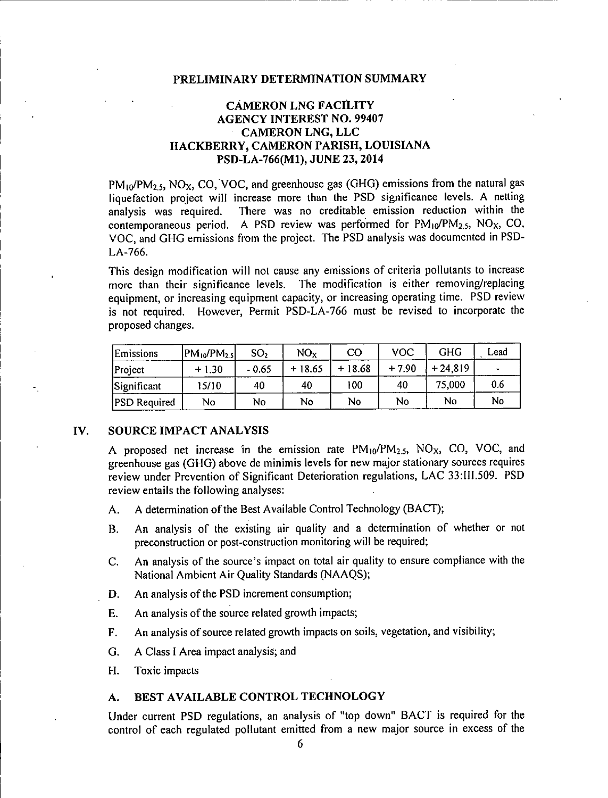### **CÁMERON LNG FACILITY AGENCY INTEREST NO. 99407 CAMERON LNG, LLC** HACKBERRY, CAMERON PARISH, LOUISIANA PSD-LA-766(M1), JUNE 23, 2014

 $PM_{10}/PM_{2.5}$ , NO<sub>X</sub>, CO, VOC, and greenhouse gas (GHG) emissions from the natural gas liquefaction project will increase more than the PSD significance levels. A netting There was no creditable emission reduction within the analysis was required. contemporaneous period. A PSD review was performed for  $PM_{10}/PM_{2.5}$ , NO<sub>x</sub>, CO, VOC, and GHG emissions from the project. The PSD analysis was documented in PSD-LA-766.

This design modification will not cause any emissions of criteria pollutants to increase more than their significance levels. The modification is either removing/replacing equipment, or increasing equipment capacity, or increasing operating time. PSD review is not required. However, Permit PSD-LA-766 must be revised to incorporate the proposed changes.

| <b>Emissions</b>    | $ PM_{10}/PM_{2.5} $ | SO,     | NO <sub>x</sub> | $\rm CO$ | <b>VOC</b> | GHG       | Lead |
|---------------------|----------------------|---------|-----------------|----------|------------|-----------|------|
| Project             | $+1.30$              | $-0.65$ | $+18.65$        | $+18.68$ | $+7.90$    | $+24.819$ |      |
| Significant         | 15/10.               | 40      | 40              | 100      | 40         | 75,000    | 0.6  |
| <b>PSD</b> Required | No                   | No      | No              | No       | No         | No        | No   |

### IV. **SOURCE IMPACT ANALYSIS**

A proposed net increase in the emission rate  $PM_{10}/PM_{2.5}$ , NO<sub>X</sub>, CO, VOC, and greenhouse gas (GHG) above de minimis levels for new major stationary sources requires review under Prevention of Significant Deterioration regulations, LAC 33:III.509. PSD review entails the following analyses:

- A determination of the Best Available Control Technology (BACT); A.
- An analysis of the existing air quality and a determination of whether or not **B.** preconstruction or post-construction monitoring will be required;
- An analysis of the source's impact on total air quality to ensure compliance with the  $C_{\cdot}$ National Ambient Air Quality Standards (NAAOS);
- An analysis of the PSD increment consumption; D.
- An analysis of the source related growth impacts; E.
- F. An analysis of source related growth impacts on soils, vegetation, and visibility;
- G. A Class I Area impact analysis; and
- H. Toxic impacts

### BEST AVAILABLE CONTROL TECHNOLOGY А.

Under current PSD regulations, an analysis of "top down" BACT is required for the control of each regulated pollutant emitted from a new major source in excess of the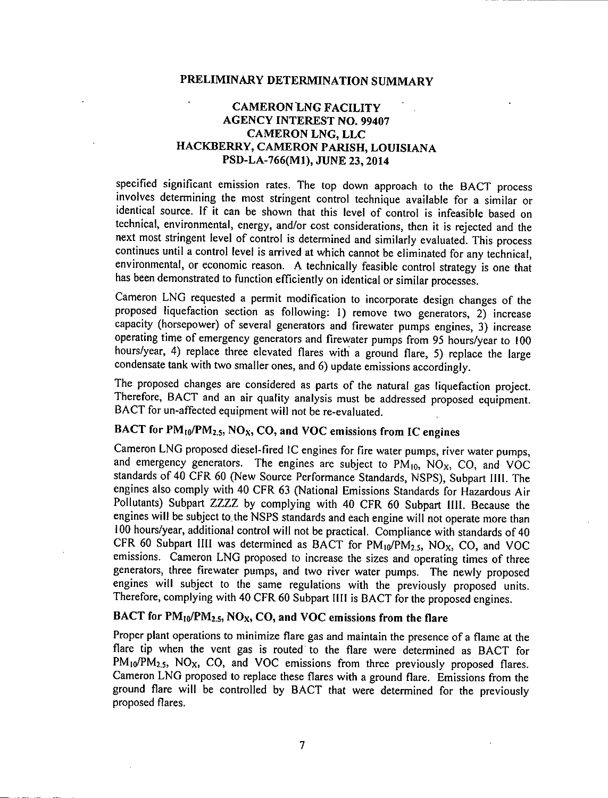### **CAMERON LNG FACILITY AGENCY INTEREST NO. 99407 CAMERON LNG, LLC** HACKBERRY, CAMERON PARISH, LOUISIANA PSD-LA-766(M1), JUNE 23, 2014

specified significant emission rates. The top down approach to the BACT process involves determining the most stringent control technique available for a similar or identical source. If it can be shown that this level of control is infeasible based on technical, environmental, energy, and/or cost considerations, then it is rejected and the next most stringent level of control is determined and similarly evaluated. This process continues until a control level is arrived at which cannot be eliminated for any technical, environmental, or economic reason. A technically feasible control strategy is one that has been demonstrated to function efficiently on identical or similar processes.

Cameron LNG requested a permit modification to incorporate design changes of the proposed liquefaction section as following: 1) remove two generators, 2) increase capacity (horsepower) of several generators and firewater pumps engines, 3) increase operating time of emergency generators and firewater pumps from 95 hours/year to 100 hours/year, 4) replace three elevated flares with a ground flare, 5) replace the large condensate tank with two smaller ones, and 6) update emissions accordingly.

The proposed changes are considered as parts of the natural gas liquefaction project. Therefore, BACT and an air quality analysis must be addressed proposed equipment. BACT for un-affected equipment will not be re-evaluated.

### BACT for  $PM_{10}/PM_{2.5}$ , NO<sub>X</sub>, CO, and VOC emissions from IC engines

Cameron LNG proposed diesel-fired IC engines for fire water pumps, river water pumps, and emergency generators. The engines are subject to PM<sub>10</sub>, NO<sub>X</sub>, CO, and VOC standards of 40 CFR 60 (New Source Performance Standards, NSPS), Subpart IIII. The engines also comply with 40 CFR 63 (National Emissions Standards for Hazardous Air Pollutants) Subpart ZZZZ by complying with 40 CFR 60 Subpart IIII. Because the engines will be subject to the NSPS standards and each engine will not operate more than 100 hours/year, additional control will not be practical. Compliance with standards of 40 CFR 60 Subpart IIII was determined as BACT for  $PM_{10}/PM_{2.5}$ , NO<sub>x</sub>, CO, and VOC emissions. Cameron LNG proposed to increase the sizes and operating times of three generators, three firewater pumps, and two river water pumps. The newly proposed engines will subject to the same regulations with the previously proposed units. Therefore, complying with 40 CFR 60 Subpart IIII is BACT for the proposed engines.

### BACT for  $PM_{10}/PM_{2.5}$ , NO<sub>X</sub>, CO, and VOC emissions from the flare

Proper plant operations to minimize flare gas and maintain the presence of a flame at the flare tip when the vent gas is routed to the flare were determined as BACT for PM<sub>10</sub>/PM<sub>2.5</sub>, NO<sub>X</sub>, CO, and VOC emissions from three previously proposed flares. Cameron LNG proposed to replace these flares with a ground flare. Emissions from the ground flare will be controlled by BACT that were determined for the previously proposed flares.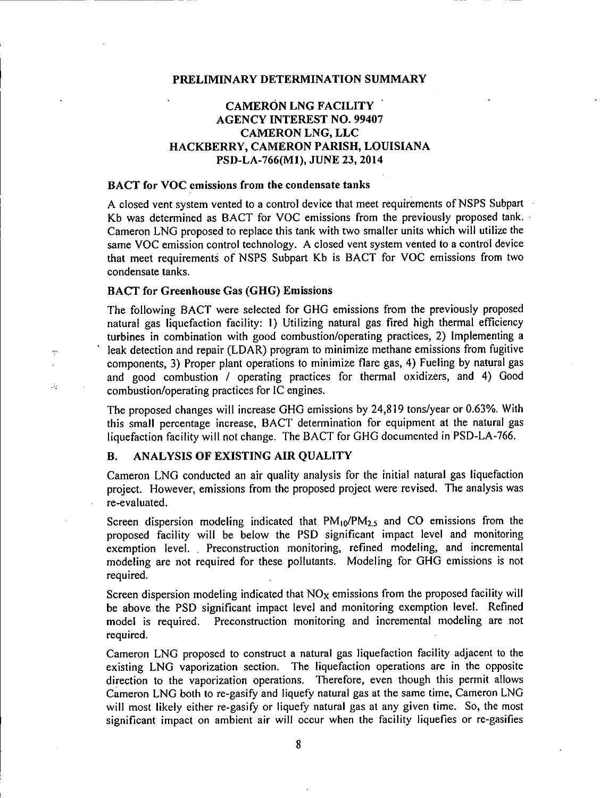### **CAMERON LNG FACILITY AGENCY INTEREST NO. 99407 CAMERON LNG, LLC** HACKBERRY, CAMERON PARISH, LOUISIANA PSD-LA-766(M1), JUNE 23, 2014

### BACT for VOC emissions from the condensate tanks

A closed vent system vented to a control device that meet requirements of NSPS Subpart Kb was determined as BACT for VOC emissions from the previously proposed tank. Cameron LNG proposed to replace this tank with two smaller units which will utilize the same VOC emission control technology. A closed vent system vented to a control device that meet requirements of NSPS Subpart Kb is BACT for VOC emissions from two condensate tanks.

### **BACT** for Greenhouse Gas (GHG) Emissions

ÿ.

l.

Ú,

The following BACT were selected for GHG emissions from the previously proposed natural gas liquefaction facility: 1) Utilizing natural gas fired high thermal efficiency turbines in combination with good combustion/operating practices, 2) Implementing a leak detection and repair (LDAR) program to minimize methane emissions from fugitive components, 3) Proper plant operations to minimize flare gas, 4) Fueling by natural gas and good combustion / operating practices for thermal oxidizers, and 4) Good combustion/operating practices for IC engines.

The proposed changes will increase GHG emissions by 24,819 tons/year or 0.63%. With this small percentage increase, BACT determination for equipment at the natural gas liquefaction facility will not change. The BACT for GHG documented in PSD-LA-766.

### ANALYSIS OF EXISTING AIR OUALITY **B**.

Cameron LNG conducted an air quality analysis for the initial natural gas liquefaction project. However, emissions from the proposed project were revised. The analysis was re-evaluated.

Screen dispersion modeling indicated that  $PM_{10}/PM_{2.5}$  and CO emissions from the proposed facility will be below the PSD significant impact level and monitoring exemption level. Preconstruction monitoring, refined modeling, and incremental modeling are not required for these pollutants. Modeling for GHG emissions is not required.

Screen dispersion modeling indicated that NO<sub>x</sub> emissions from the proposed facility will be above the PSD significant impact level and monitoring exemption level. Refined model is required. Preconstruction monitoring and incremental modeling are not required.

Cameron LNG proposed to construct a natural gas liquefaction facility adjacent to the existing LNG vaporization section. The liquefaction operations are in the opposite direction to the vaporization operations. Therefore, even though this permit allows Cameron LNG both to re-gasify and liquefy natural gas at the same time, Cameron LNG will most likely either re-gasify or liquefy natural gas at any given time. So, the most significant impact on ambient air will occur when the facility liquefies or re-gasifies

8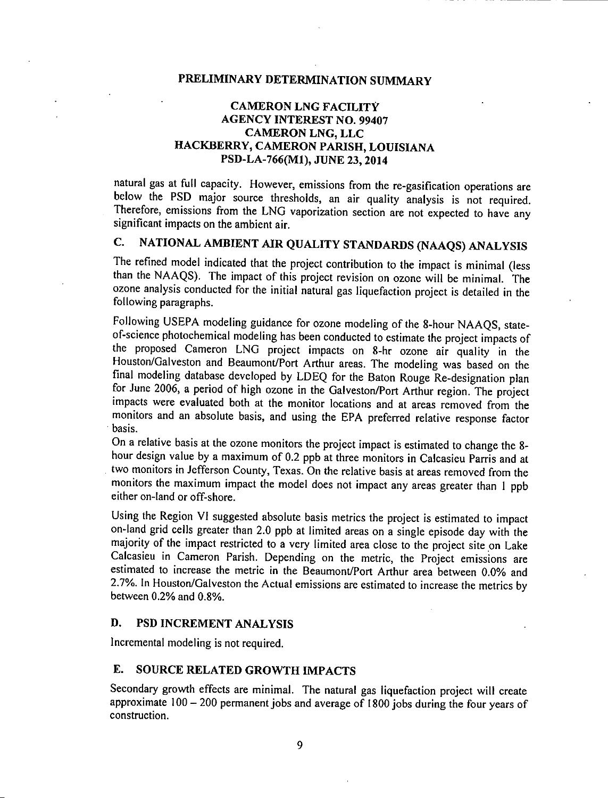### **CAMERON LNG FACILITY AGENCY INTEREST NO. 99407 CAMERON LNG, LLC** HACKBERRY, CAMERON PARISH, LOUISIANA PSD-LA-766(M1), JUNE 23, 2014

natural gas at full capacity. However, emissions from the re-gasification operations are below the PSD major source thresholds, an air quality analysis is not required. Therefore, emissions from the LNG vaporization section are not expected to have any significant impacts on the ambient air.

### NATIONAL AMBIENT AIR QUALITY STANDARDS (NAAQS) ANALYSIS  $\overline{C}$ .

The refined model indicated that the project contribution to the impact is minimal (less than the NAAQS). The impact of this project revision on ozone will be minimal. The ozone analysis conducted for the initial natural gas liquefaction project is detailed in the following paragraphs.

Following USEPA modeling guidance for ozone modeling of the 8-hour NAAQS, stateof-science photochemical modeling has been conducted to estimate the project impacts of the proposed Cameron LNG project impacts on 8-hr ozone air quality in the Houston/Galveston and Beaumont/Port Arthur areas. The modeling was based on the final modeling database developed by LDEQ for the Baton Rouge Re-designation plan for June 2006, a period of high ozone in the Galveston/Port Arthur region. The project impacts were evaluated both at the monitor locations and at areas removed from the monitors and an absolute basis, and using the EPA preferred relative response factor basis.

On a relative basis at the ozone monitors the project impact is estimated to change the 8hour design value by a maximum of 0.2 ppb at three monitors in Calcasieu Parris and at two monitors in Jefferson County, Texas. On the relative basis at areas removed from the monitors the maximum impact the model does not impact any areas greater than 1 ppb either on-land or off-shore.

Using the Region VI suggested absolute basis metrics the project is estimated to impact on-land grid cells greater than 2.0 ppb at limited areas on a single episode day with the majority of the impact restricted to a very limited area close to the project site on Lake Calcasieu in Cameron Parish. Depending on the metric, the Project emissions are estimated to increase the metric in the Beaumont/Port Arthur area between 0.0% and 2.7%. In Houston/Galveston the Actual emissions are estimated to increase the metrics by between 0.2% and 0.8%.

### D. PSD INCREMENT ANALYSIS

Incremental modeling is not required.

### $E_{-}$ SOURCE RELATED GROWTH IMPACTS

Secondary growth effects are minimal. The natural gas liquefaction project will create approximate  $100 - 200$  permanent jobs and average of 1800 jobs during the four years of construction.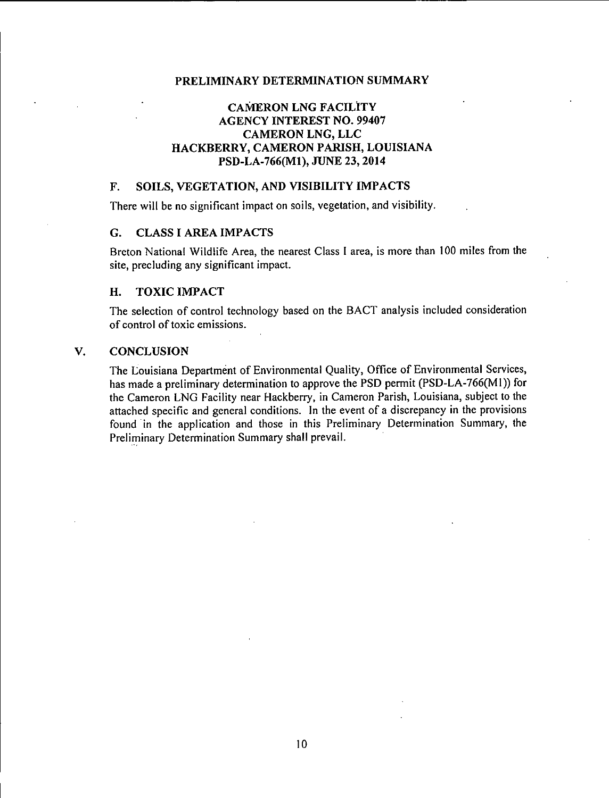### **CAMERON LNG FACILITY AGENCY INTEREST NO. 99407 CAMERON LNG, LLC** HACKBERRY, CAMERON PARISH, LOUISIANA PSD-LA-766(M1), JUNE 23, 2014

### SOILS, VEGETATION, AND VISIBILITY IMPACTS F.

There will be no significant impact on soils, vegetation, and visibility.

### G. **CLASS I AREA IMPACTS**

Breton National Wildlife Area, the nearest Class I area, is more than 100 miles from the site, precluding any significant impact.

### **TOXIC IMPACT** H.

The selection of control technology based on the BACT analysis included consideration of control of toxic emissions.

### $V_{\star}$ **CONCLUSION**

The Louisiana Department of Environmental Quality, Office of Environmental Services, has made a preliminary determination to approve the PSD permit (PSD-LA-766(M1)) for the Cameron LNG Facility near Hackberry, in Cameron Parish, Louisiana, subject to the attached specific and general conditions. In the event of a discrepancy in the provisions found in the application and those in this Preliminary Determination Summary, the Preliminary Determination Summary shall prevail.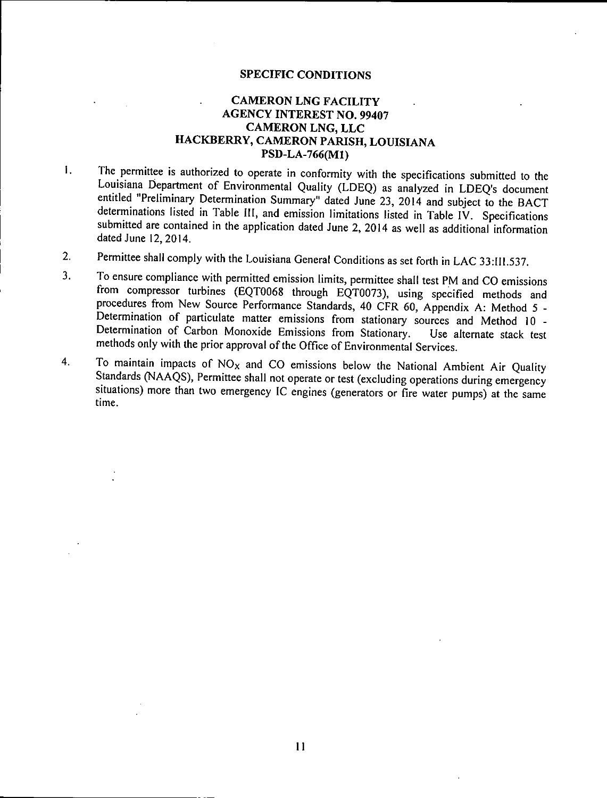### **SPECIFIC CONDITIONS**

### **CAMERON LNG FACILITY AGENCY INTEREST NO. 99407 CAMERON LNG, LLC** HACKBERRY, CAMERON PARISH, LOUISIANA PSD-LA-766(M1)

- The permittee is authorized to operate in conformity with the specifications submitted to the I. Louisiana Department of Environmental Quality (LDEQ) as analyzed in LDEQ's document entitled "Preliminary Determination Summary" dated June 23, 2014 and subject to the BACT determinations listed in Table III, and emission limitations listed in Table IV. Specifications submitted are contained in the application dated June 2, 2014 as well as additional information dated June 12, 2014.
- Permittee shall comply with the Louisiana General Conditions as set forth in LAC 33:III.537.  $2.$
- To ensure compliance with permitted emission limits, permittee shall test PM and CO emissions  $3<sub>1</sub>$ from compressor turbines (EQT0068 through EQT0073), using specified methods and procedures from New Source Performance Standards, 40 CFR 60, Appendix A: Method 5 -Determination of particulate matter emissions from stationary sources and Method 10 -Determination of Carbon Monoxide Emissions from Stationary. Use alternate stack test methods only with the prior approval of the Office of Environmental Services.
- To maintain impacts of  $NO<sub>x</sub>$  and CO emissions below the National Ambient Air Quality  $4.$ Standards (NAAQS), Permittee shall not operate or test (excluding operations during emergency situations) more than two emergency IC engines (generators or fire water pumps) at the same time.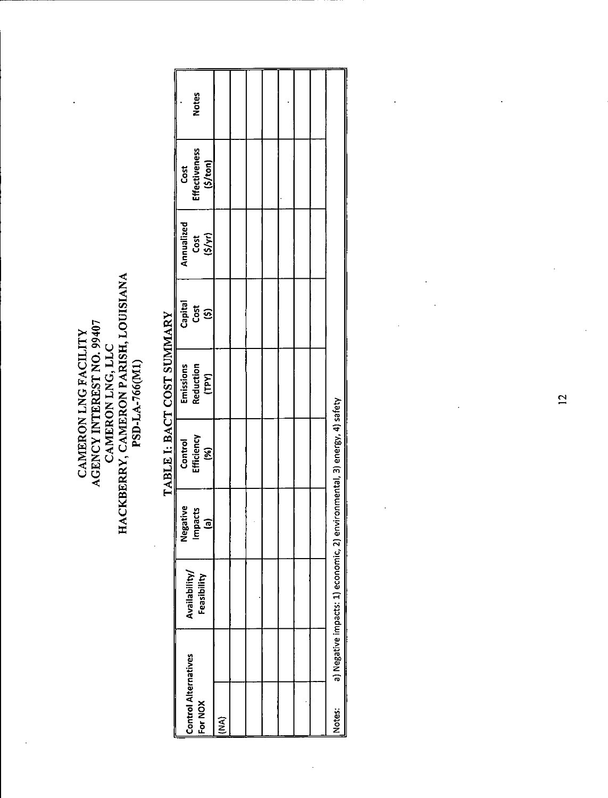### HACKBERRY, CAMERON PARISH, LOUISIANA AGENCY INTEREST NO. 99407 CAMERON LNG FACILITY CAMERON LNG, LLC PSD-LA-766(M1)

 $\ddot{\phantom{0}}$ 

### **Notes Effectiveness**  $(5/ton)$ Cost Annualized  $(S/yr)$ Cost Capital Cost  $\overline{3}$ Emissions<br>Reduction (TPY) a) Negative impacts: 1) economic, 2) environmental, 3) energy, 4) safety **Efficiency** Control  $(%)$ Impacts Negative  $\overline{e}$ Availability/ Feasibility **Control Alternatives** For NOX Notes:  $\widetilde{\mathbf{z}}$

 $\ddot{\phantom{0}}$ 

## TABLE I: BACT COST SUMMARY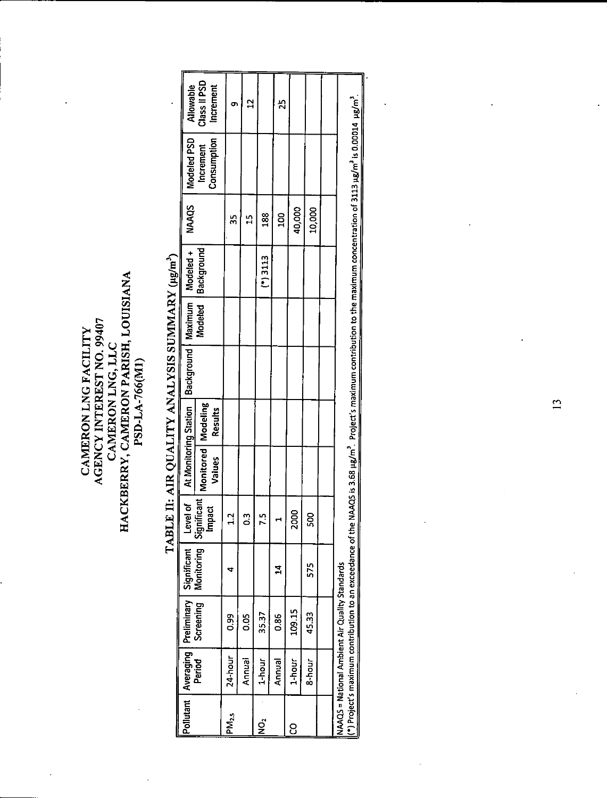## **CAMERON LNG, LLC<br>HACKBERRY, CAMERON PARISH, LOUISIANA**<br>PSD-LA-766(MI)  $\begin{array}{c} \textbf{CAMERON LNG FACILITY} \\ \textbf{AGENCY INTERIST NO. 99407} \end{array}$

|                    |         | Pollutant   Averaging   Preliminary   Significant |                        | 5<br>level  | At Monitoring Station          |         | Background   Maximum   Modeled + |                    | <b>NAAQS</b>   | Modeled PSD                                                                                                                                                                                                       | Allowable                 |
|--------------------|---------|---------------------------------------------------|------------------------|-------------|--------------------------------|---------|----------------------------------|--------------------|----------------|-------------------------------------------------------------------------------------------------------------------------------------------------------------------------------------------------------------------|---------------------------|
|                    | Period  | Screening                                         | Monitoring Significant | ซ<br>lmpa   | Monitored   Modeling<br>Values | Results |                                  | Modeled Background |                | Consumption<br>Increment                                                                                                                                                                                          | Class II PSD<br>Increment |
| IPM <sub>2.5</sub> | 24-hour | 99                                                |                        |             |                                |         |                                  |                    | 35             |                                                                                                                                                                                                                   |                           |
|                    | Annual  | <b>9.05</b>                                       |                        | ී           |                                |         |                                  |                    | Ľ              |                                                                                                                                                                                                                   |                           |
| ς<br>Σ             | 1-hour  | 35.37                                             |                        |             |                                |         |                                  | $(*)$ 3113         | $\frac{88}{1}$ |                                                                                                                                                                                                                   |                           |
|                    | Annual  | 0.86                                              | $\mathbf{r}$           |             |                                |         |                                  |                    | <b>001</b>     |                                                                                                                                                                                                                   | ጚ                         |
| 8                  | 1-hour  | 109.15                                            |                        | <b>2000</b> |                                |         |                                  |                    | 40,000         |                                                                                                                                                                                                                   |                           |
|                    | 8-hour  | 45.33                                             | 575                    | ន្ល         |                                |         |                                  |                    | 10,000         |                                                                                                                                                                                                                   |                           |
|                    |         |                                                   |                        |             |                                |         |                                  |                    |                |                                                                                                                                                                                                                   |                           |
|                    |         | NAAQS = National Ambient Air Quality Standards    |                        |             |                                |         |                                  |                    |                | (*) Project's maximum contribution to an exceedance of the NAAQS is 3.68 µg/m <sup>3</sup> . Project's maximum contribution to the maximum concentration of 3113 µg/m <sup>3</sup> is 0.00014 µg/m <sup>3</sup> . |                           |

# TABLE II: AIR QUALITY ANALYSIS SUMMARY (µg/m<sup>3</sup>)

 $\overline{13}$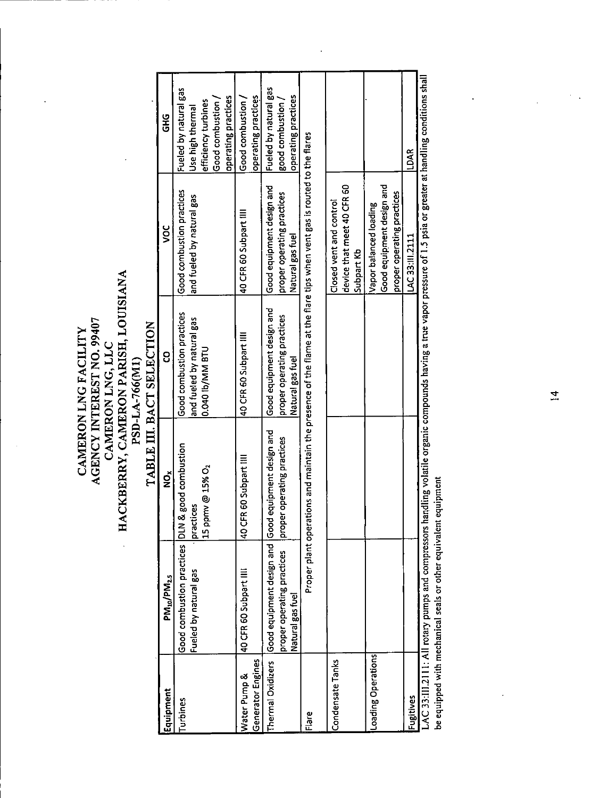AGENCY INTEREST NO. 99407<br>CAMERON LNG, LLC<br>HACKBERRY, CAMERON PARISH, LOUISIANA<br>PSD-LA-766(M1) TABLE III. BACT SELECTION CAMERON LNG FACILITY

 $\ddot{\phantom{a}}$ 

| Equipment          | PM10/PM2.5                                                                | $\check{\mathbf{2}}$                      | 8                                            | š                                                                                                                      | 9HG                                     |
|--------------------|---------------------------------------------------------------------------|-------------------------------------------|----------------------------------------------|------------------------------------------------------------------------------------------------------------------------|-----------------------------------------|
| Turbines           | Good combustion practices DLN                                             | & good combustion                         | Good combustion practices                    | Good combustion practices                                                                                              | Fueled by natural gas                   |
|                    | Fueled by natural gas                                                     | 15 ppmv @ 15% O <sub>2</sub><br>practices | and fueled by natural gas<br>0.040 lb/MM BTU | and fueled by natural gas                                                                                              | efficiency turbines<br>Use high thermal |
|                    |                                                                           |                                           |                                              |                                                                                                                        | Good combustion                         |
|                    |                                                                           |                                           |                                              |                                                                                                                        | operating practices                     |
| Water Pump &       | 40 CFR 60 Subpart IIII                                                    | 40 CFR 60 Subpart IIII                    | 40 CFR 60 Subpart IIII                       | 40 CFR 60 Subpart IIII                                                                                                 | Good combustion /                       |
| Generator Engines  |                                                                           |                                           |                                              |                                                                                                                        | operating practices                     |
|                    | Thermal Oxidizers   Good equipment design and   Good equipment design and |                                           | Good equipment design and                    | Good equipment design and                                                                                              | Fueled by natural gas                   |
|                    | proper operating practices                                                | er operating practices<br>lprop           | proper operating practices                   | proper operating practices                                                                                             | good combustion                         |
|                    | Natural gas fuel                                                          |                                           | Natural gas fuel                             | Natural gas fuel                                                                                                       | operating practices                     |
| Flare              |                                                                           |                                           |                                              | Proper plant operations and maintain the presence of the flame at the flare tips when vent gas is routed to the flares |                                         |
| Condensate Tanks   |                                                                           |                                           |                                              | Closed vent and control                                                                                                |                                         |
|                    |                                                                           |                                           |                                              | device that meet 40 CFR 60                                                                                             |                                         |
|                    |                                                                           |                                           |                                              | Subpart Kb                                                                                                             |                                         |
| Loading Operations |                                                                           |                                           |                                              | Vapor balanced loading                                                                                                 |                                         |
|                    |                                                                           |                                           |                                              | Good equipment design and                                                                                              |                                         |
|                    |                                                                           |                                           |                                              | proper operating practices                                                                                             |                                         |
| Fugitives          |                                                                           |                                           |                                              | LAC 33:11.2111                                                                                                         | <b>LDAR</b>                             |
|                    | LAC 33:III.2111: All rotary pumps and compressors                         |                                           |                                              | handling volatile organic compounds having a true vapor pressure of 1.5 psia or greater at handling conditions shall   |                                         |

be equipped with mechanical seals or other equivalent equipment

í

 $\hat{\mathcal{L}}_{\text{max}}$ 

 $\overline{a}$